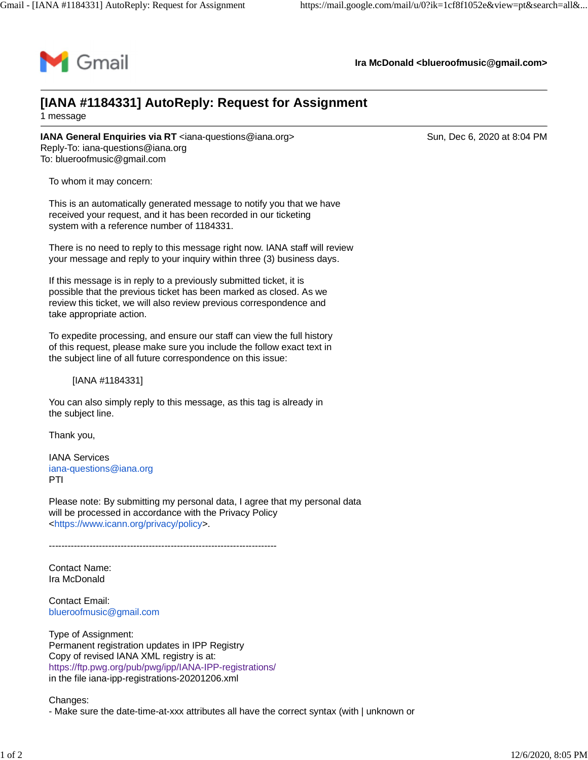

**Ira McDonald [<blueroofmusic@gmail.com](mailto:blueroofmusic@gmail.com)>**

## **[IANA #1184331] AutoReply: Request for Assignment** 1 message

**IANA General Enquiries via RT** [<iana-questions@iana.org>](mailto:iana-questions@iana.org) Sun, Dec 6, 2020 at 8:04 PM Reply-To: [iana-questions@iana.org](mailto:iana-questions@iana.org) To: [blueroofmusic@gmail.com](mailto:blueroofmusic@gmail.com)

To whom it may concern:

This is an automatically generated message to notify you that we have received your request, and it has been recorded in our ticketing system with a reference number of 1184331.

There is no need to reply to this message right now. IANA staff will review your message and reply to your inquiry within three (3) business days.

If this message is in reply to a previously submitted ticket, it is possible that the previous ticket has been marked as closed. As we review this ticket, we will also review previous correspondence and take appropriate action.

To expedite processing, and ensure our staff can view the full history of this request, please make sure you include the follow exact text in the subject line of all future correspondence on this issue:

[IANA #1184331]

You can also simply reply to this message, as this tag is already in the subject line.

Thank you,

IANA Services [iana-questions@iana.org](mailto:iana-questions@iana.org) PTI

Please note: By submitting my personal data, I agree that my personal data will be processed in accordance with the Privacy Policy <[https://www.icann.org/privacy/policy>](https://www.icann.org/privacy/policy).

-------------------------------------------------------------------------

Contact Name: Ira McDonald

Contact Email: [blueroofmusic@gmail.com](mailto:blueroofmusic@gmail.com)

Type of Assignment: Permanent registration updates in IPP Registry Copy of revised IANA XML registry is at: <https://ftp.pwg.org/pub/pwg/ipp/IANA-IPP-registrations/> in the file iana-ipp-registrations-20201206.xml

Changes:

- Make sure the date-time-at-xxx attributes all have the correct syntax (with | unknown or